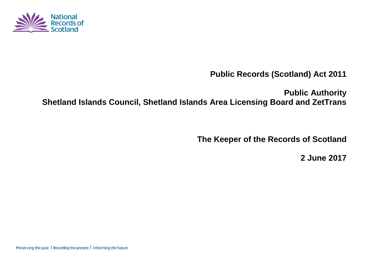

**Public Records (Scotland) Act 2011**

**Public Authority Shetland Islands Council, Shetland Islands Area Licensing Board and ZetTrans**

**The Keeper of the Records of Scotland**

**2 June 2017**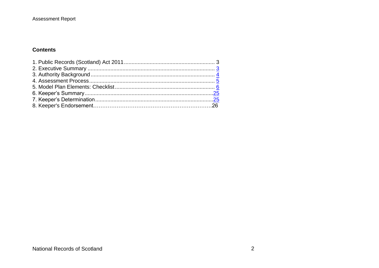#### Assessment Report

#### **Contents**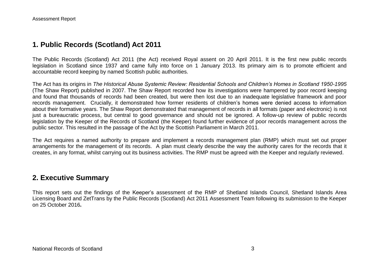## **1. Public Records (Scotland) Act 2011**

The Public Records (Scotland) Act 2011 (the Act) received Royal assent on 20 April 2011. It is the first new public records legislation in Scotland since 1937 and came fully into force on 1 January 2013. Its primary aim is to promote efficient and accountable record keeping by named Scottish public authorities.

The Act has its origins in *The Historical Abuse Systemic Review: Residential Schools and Children's Homes in Scotland 1950-1995* (The Shaw Report) published in 2007. The Shaw Report recorded how its investigations were hampered by poor record keeping and found that thousands of records had been created, but were then lost due to an inadequate legislative framework and poor records management. Crucially, it demonstrated how former residents of children's homes were denied access to information about their formative years. The Shaw Report demonstrated that management of records in all formats (paper and electronic) is not just a bureaucratic process, but central to good governance and should not be ignored. A follow-up review of public records legislation by the Keeper of the Records of Scotland (the Keeper) found further evidence of poor records management across the public sector. This resulted in the passage of the Act by the Scottish Parliament in March 2011.

The Act requires a named authority to prepare and implement a records management plan (RMP) which must set out proper arrangements for the management of its records. A plan must clearly describe the way the authority cares for the records that it creates, in any format, whilst carrying out its business activities. The RMP must be agreed with the Keeper and regularly reviewed.

### **2. Executive Summary**

This report sets out the findings of the Keeper's assessment of the RMP of Shetland Islands Council, Shetland Islands Area Licensing Board and ZetTrans by the Public Records (Scotland) Act 2011 Assessment Team following its submission to the Keeper on 25 October 2016*.*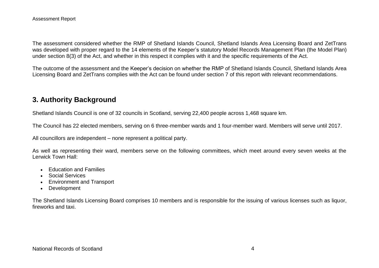The assessment considered whether the RMP of Shetland Islands Council, Shetland Islands Area Licensing Board and ZetTrans was developed with proper regard to the 14 elements of the Keeper's statutory Model Records Management Plan (the Model Plan) under section 8(3) of the Act, and whether in this respect it complies with it and the specific requirements of the Act.

The outcome of the assessment and the Keeper's decision on whether the RMP of Shetland Islands Council, Shetland Islands Area Licensing Board and ZetTrans complies with the Act can be found under section 7 of this report with relevant recommendations.

# **3. Authority Background**

Shetland Islands Council is one of 32 councils in Scotland, serving 22,400 people across 1,468 square km.

The Council has 22 elected members, serving on 6 three-member wards and 1 four-member ward. Members will serve until 2017.

All councillors are independent – none represent a political party.

As well as representing their ward, members serve on the following committees, which meet around every seven weeks at the Lerwick Town Hall:

- Fducation and Families
- Social Services
- Environment and Transport
- Development

The Shetland Islands Licensing Board comprises 10 members and is responsible for the issuing of various licenses such as liquor, fireworks and taxi.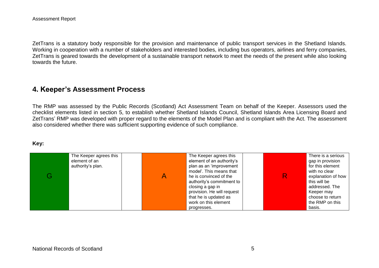ZetTrans is a statutory body responsible for the provision and maintenance of public transport services in the Shetland Islands. Working in cooperation with a number of stakeholders and interested bodies, including bus operators, airlines and ferry companies, ZetTrans is geared towards the development of a sustainable transport network to meet the needs of the present while also looking towards the future.

## **4. Keeper's Assessment Process**

The RMP was assessed by the Public Records (Scotland) Act Assessment Team on behalf of the Keeper. Assessors used the checklist elements listed in section 5, to establish whether Shetland Islands Council, Shetland Islands Area Licensing Board and ZetTrans' RMP was developed with proper regard to the elements of the Model Plan and is compliant with the Act. The assessment also considered whether there was sufficient supporting evidence of such compliance.

#### **Key:**

| The Keeper agrees this | The Keeper agrees this     | There is a serious |
|------------------------|----------------------------|--------------------|
| element of an          | element of an authority's  | gap in provision   |
| authority's plan.      | plan as an 'improvement    | for this element   |
|                        | model'. This means that    | with no clear      |
|                        | he is convinced of the     | explanation of how |
|                        | authority's commitment to  | this will be       |
|                        | closing a gap in           | addressed. The     |
|                        | provision. He will request | Keeper may         |
|                        | that he is updated as      | choose to return   |
|                        | work on this element       | the RMP on this    |
|                        | progresses.                | basis.             |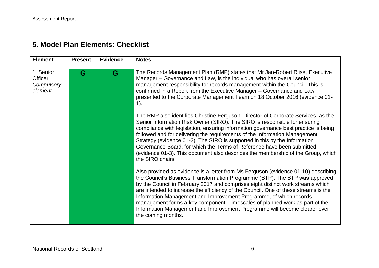| <b>Element</b>                                | <b>Present</b> | <b>Evidence</b> | <b>Notes</b>                                                                                                                                                                                                                                                                                                                                                                                                                                                                                                                                                                                          |
|-----------------------------------------------|----------------|-----------------|-------------------------------------------------------------------------------------------------------------------------------------------------------------------------------------------------------------------------------------------------------------------------------------------------------------------------------------------------------------------------------------------------------------------------------------------------------------------------------------------------------------------------------------------------------------------------------------------------------|
| 1. Senior<br>Officer<br>Compulsory<br>element | G              | G               | The Records Management Plan (RMP) states that Mr Jan-Robert Riise, Executive<br>Manager – Governance and Law, is the individual who has overall senior<br>management responsibility for records management within the Council. This is<br>confirmed in a Report from the Executive Manager - Governance and Law<br>presented to the Corporate Management Team on 18 October 2016 (evidence 01-<br>$1$ ).                                                                                                                                                                                              |
|                                               |                |                 | The RMP also identifies Christine Ferguson, Director of Corporate Services, as the<br>Senior Information Risk Owner (SIRO). The SIRO is responsible for ensuring<br>compliance with legislation, ensuring information governance best practice is being<br>followed and for delivering the requirements of the Information Management<br>Strategy (evidence 01-2). The SIRO is supported in this by the Information<br>Governance Board, for which the Terms of Reference have been submitted<br>(evidence 01-3). This document also describes the membership of the Group, which<br>the SIRO chairs. |
|                                               |                |                 | Also provided as evidence is a letter from Ms Ferguson (evidence 01-10) describing<br>the Council's Business Transformation Programme (BTP). The BTP was approved<br>by the Council in February 2017 and comprises eight distinct work streams which<br>are intended to increase the efficiency of the Council. One of these streams is the<br>Information Management and Improvement Programme, of which records<br>management forms a key component. Timescales of planned work as part of the<br>Information Management and Improvement Programme will become clearer over<br>the coming months.   |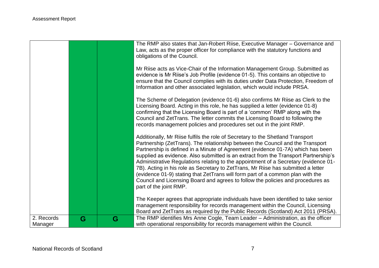|                       |   |   | The RMP also states that Jan-Robert Riise, Executive Manager - Governance and<br>Law, acts as the proper officer for compliance with the statutory functions and<br>obligations of the Council.                                                                                                                                                                                                                                                                                                                                                                                                                                                                                                                       |
|-----------------------|---|---|-----------------------------------------------------------------------------------------------------------------------------------------------------------------------------------------------------------------------------------------------------------------------------------------------------------------------------------------------------------------------------------------------------------------------------------------------------------------------------------------------------------------------------------------------------------------------------------------------------------------------------------------------------------------------------------------------------------------------|
|                       |   |   | Mr Riise acts as Vice-Chair of the Information Management Group. Submitted as<br>evidence is Mr Riise's Job Profile (evidence 01-5). This contains an objective to<br>ensure that the Council complies with its duties under Data Protection, Freedom of<br>Information and other associated legislation, which would include PRSA.                                                                                                                                                                                                                                                                                                                                                                                   |
|                       |   |   | The Scheme of Delegation (evidence 01-6) also confirms Mr Riise as Clerk to the<br>Licensing Board. Acting in this role, he has supplied a letter (evidence 01-8)<br>confirming that the Licensing Board is part of a 'common' RMP along with the<br>Council and ZetTrans. The letter commits the Licensing Board to following the<br>records management policies and procedures set out in the joint RMP.                                                                                                                                                                                                                                                                                                            |
|                       |   |   | Additionally, Mr Riise fulfils the role of Secretary to the Shetland Transport<br>Partnership (ZetTrans). The relationship between the Council and the Transport<br>Partnership is defined in a Minute of Agreement (evidence 01-7A) which has been<br>supplied as evidence. Also submitted is an extract from the Transport Partnership's<br>Administrative Regulations relating to the appointment of a Secretary (evidence 01-<br>7B). Acting in his role as Secretary to ZetTrans, Mr Riise has submitted a letter<br>(evidence 01-9) stating that ZetTrans will form part of a common plan with the<br>Council and Licensing Board and agrees to follow the policies and procedures as<br>part of the joint RMP. |
|                       |   |   | The Keeper agrees that appropriate individuals have been identified to take senior<br>management responsibility for records management within the Council, Licensing<br>Board and ZetTrans as required by the Public Records (Scotland) Act 2011 (PRSA).                                                                                                                                                                                                                                                                                                                                                                                                                                                              |
| 2. Records<br>Manager | G | G | The RMP identifies Mrs Anne Cogle, Team Leader - Administration, as the officer<br>with operational responsibility for records management within the Council.                                                                                                                                                                                                                                                                                                                                                                                                                                                                                                                                                         |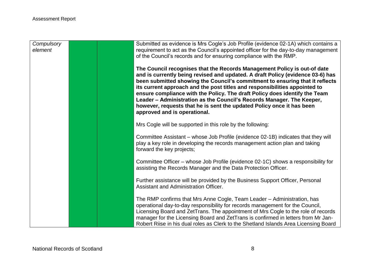| Compulsory<br>element | Submitted as evidence is Mrs Cogle's Job Profile (evidence 02-1A) which contains a<br>requirement to act as the Council's appointed officer for the day-to-day management<br>of the Council's records and for ensuring compliance with the RMP.                                                                                                                                                                                                                                                                                                                                          |
|-----------------------|------------------------------------------------------------------------------------------------------------------------------------------------------------------------------------------------------------------------------------------------------------------------------------------------------------------------------------------------------------------------------------------------------------------------------------------------------------------------------------------------------------------------------------------------------------------------------------------|
|                       | The Council recognises that the Records Management Policy is out-of date<br>and is currently being revised and updated. A draft Policy (evidence 03-6) has<br>been submitted showing the Council's commitment to ensuring that it reflects<br>its current approach and the post titles and responsibilities appointed to<br>ensure compliance with the Policy. The draft Policy does identify the Team<br>Leader - Administration as the Council's Records Manager. The Keeper,<br>however, requests that he is sent the updated Policy once it has been<br>approved and is operational. |
|                       | Mrs Cogle will be supported in this role by the following:                                                                                                                                                                                                                                                                                                                                                                                                                                                                                                                               |
|                       | Committee Assistant - whose Job Profile (evidence 02-1B) indicates that they will<br>play a key role in developing the records management action plan and taking<br>forward the key projects;                                                                                                                                                                                                                                                                                                                                                                                            |
|                       | Committee Officer - whose Job Profile (evidence 02-1C) shows a responsibility for<br>assisting the Records Manager and the Data Protection Officer.                                                                                                                                                                                                                                                                                                                                                                                                                                      |
|                       | Further assistance will be provided by the Business Support Officer, Personal<br>Assistant and Administration Officer.                                                                                                                                                                                                                                                                                                                                                                                                                                                                   |
|                       | The RMP confirms that Mrs Anne Cogle, Team Leader - Administration, has<br>operational day-to-day responsibility for records management for the Council,<br>Licensing Board and ZetTrans. The appointment of Mrs Cogle to the role of records<br>manager for the Licensing Board and ZetTrans is confirmed in letters from Mr Jan-<br>Robert Riise in his dual roles as Clerk to the Shetland Islands Area Licensing Board                                                                                                                                                               |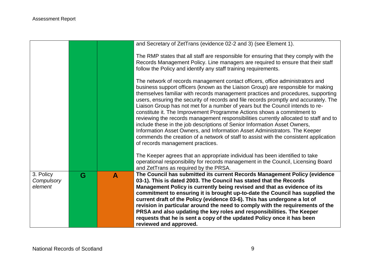|                                    |   |   | and Secretary of ZetTrans (evidence 02-2 and 3) (see Element 1).                                                                                                                                                                                                                                                                                                                                                                                                                                                                                                                                                                                                                                                                                                                                                                                                                             |
|------------------------------------|---|---|----------------------------------------------------------------------------------------------------------------------------------------------------------------------------------------------------------------------------------------------------------------------------------------------------------------------------------------------------------------------------------------------------------------------------------------------------------------------------------------------------------------------------------------------------------------------------------------------------------------------------------------------------------------------------------------------------------------------------------------------------------------------------------------------------------------------------------------------------------------------------------------------|
|                                    |   |   | The RMP states that all staff are responsible for ensuring that they comply with the<br>Records Management Policy. Line managers are required to ensure that their staff<br>follow the Policy and identify any staff training requirements.                                                                                                                                                                                                                                                                                                                                                                                                                                                                                                                                                                                                                                                  |
|                                    |   |   | The network of records management contact officers, office administrators and<br>business support officers (known as the Liaison Group) are responsible for making<br>themselves familiar with records management practices and procedures, supporting<br>users, ensuring the security of records and file records promptly and accurately. The<br>Liaison Group has not met for a number of years but the Council intends to re-<br>constitute it. The Improvement Programme Actions shows a commitment to<br>reviewing the records management responsibilities currently allocated to staff and to<br>include these in the job descriptions of Senior Information Asset Owners,<br>Information Asset Owners, and Information Asset Administrators. The Keeper<br>commends the creation of a network of staff to assist with the consistent application<br>of records management practices. |
|                                    |   |   | The Keeper agrees that an appropriate individual has been identified to take<br>operational responsibility for records management in the Council, Licensing Board<br>and ZetTrans as required by the PRSA.                                                                                                                                                                                                                                                                                                                                                                                                                                                                                                                                                                                                                                                                                   |
| 3. Policy<br>Compulsory<br>element | G | A | The Council has submitted its current Records Management Policy (evidence<br>03-1). This is dated 2003. The Council has stated that the Records<br>Management Policy is currently being revised and that as evidence of its<br>commitment to ensuring it is brought up-to-date the Council has supplied the<br>current draft of the Policy (evidence 03-6). This has undergone a lot of<br>revision in particular around the need to comply with the requirements of the<br>PRSA and also updating the key roles and responsibilities. The Keeper<br>requests that he is sent a copy of the updated Policy once it has been<br>reviewed and approved.                                                                                                                                                                                                                                        |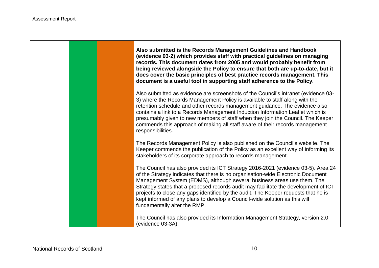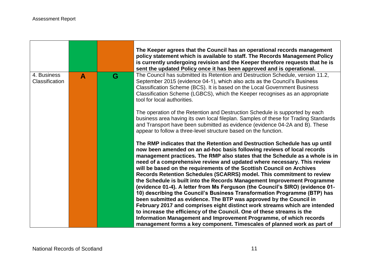|                               |   |   | The Keeper agrees that the Council has an operational records management<br>policy statement which is available to staff. The Records Management Policy<br>is currently undergoing revision and the Keeper therefore requests that he is<br>sent the updated Policy once it has been approved and is operational.                                                                                                                                                                                                                                                                                                                                                                                                                                                                                                                                                                                                                                                                                                                                                                        |
|-------------------------------|---|---|------------------------------------------------------------------------------------------------------------------------------------------------------------------------------------------------------------------------------------------------------------------------------------------------------------------------------------------------------------------------------------------------------------------------------------------------------------------------------------------------------------------------------------------------------------------------------------------------------------------------------------------------------------------------------------------------------------------------------------------------------------------------------------------------------------------------------------------------------------------------------------------------------------------------------------------------------------------------------------------------------------------------------------------------------------------------------------------|
| 4. Business<br>Classification | A | G | The Council has submitted its Retention and Destruction Schedule, version 11.2,<br>September 2015 (evidence 04-1), which also acts as the Council's Business<br>Classification Scheme (BCS). It is based on the Local Government Business<br>Classification Scheme (LGBCS), which the Keeper recognises as an appropriate<br>tool for local authorities.                                                                                                                                                                                                                                                                                                                                                                                                                                                                                                                                                                                                                                                                                                                                 |
|                               |   |   | The operation of the Retention and Destruction Schedule is supported by each<br>business area having its own local fileplan. Samples of these for Trading Standards<br>and Transport have been submitted as evidence (evidence 04-2A and B). These<br>appear to follow a three-level structure based on the function.                                                                                                                                                                                                                                                                                                                                                                                                                                                                                                                                                                                                                                                                                                                                                                    |
|                               |   |   | The RMP indicates that the Retention and Destruction Schedule has up until<br>now been amended on an ad-hoc basis following reviews of local records<br>management practices. The RMP also states that the Schedule as a whole is in<br>need of a comprehensive review and updated where necessary. This review<br>will be based on the requirements of the Scottish Council on Archives<br>Records Retention Schedules (SCARRS) model. This commitment to review<br>the Schedule is built into the Records Management Improvement Programme<br>(evidence 01-4). A letter from Ms Ferguson (the Council's SIRO) (evidence 01-<br>10) describing the Council's Business Transformation Programme (BTP) has<br>been submitted as evidence. The BTP was approved by the Council in<br>February 2017 and comprises eight distinct work streams which are intended<br>to increase the efficiency of the Council. One of these streams is the<br>Information Management and Improvement Programme, of which records<br>management forms a key component. Timescales of planned work as part of |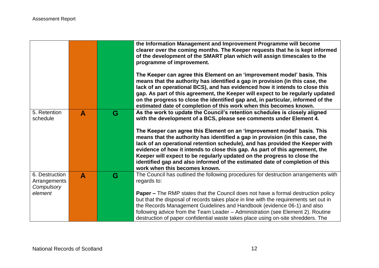|                                                         |              |   | the Information Management and Improvement Programme will become<br>clearer over the coming months. The Keeper requests that he is kept informed<br>of the development of the SMART plan which will assign timescales to the<br>programme of improvement.<br>The Keeper can agree this Element on an 'improvement model' basis. This<br>means that the authority has identified a gap in provision (in this case, the<br>lack of an operational BCS), and has evidenced how it intends to close this<br>gap. As part of this agreement, the Keeper will expect to be regularly updated<br>on the progress to close the identified gap and, in particular, informed of the<br>estimated date of completion of this work when this becomes known. |
|---------------------------------------------------------|--------------|---|-------------------------------------------------------------------------------------------------------------------------------------------------------------------------------------------------------------------------------------------------------------------------------------------------------------------------------------------------------------------------------------------------------------------------------------------------------------------------------------------------------------------------------------------------------------------------------------------------------------------------------------------------------------------------------------------------------------------------------------------------|
| 5. Retention<br>schedule                                | $\mathbf{A}$ | G | As the work to update the Council's retention schedules is closely aligned<br>with the development of a BCS, please see comments under Element 4.<br>The Keeper can agree this Element on an 'improvement model' basis. This<br>means that the authority has identified a gap in provision (in this case, the<br>lack of an operational retention schedule), and has provided the Keeper with<br>evidence of how it intends to close this gap. As part of this agreement, the<br>Keeper will expect to be regularly updated on the progress to close the<br>identified gap and also informed of the estimated date of completion of this<br>work when this becomes known.                                                                       |
| 6. Destruction<br>Arrangements<br>Compulsory<br>element | $\mathbf{A}$ | G | The Council has outlined the following procedures for destruction arrangements with<br>regards to:<br><b>Paper –</b> The RMP states that the Council does not have a formal destruction policy<br>but that the disposal of records takes place in line with the requirements set out in<br>the Records Management Guidelines and Handbook (evidence 06-1) and also<br>following advice from the Team Leader - Administration (see Element 2). Routine<br>destruction of paper confidential waste takes place using on-site shredders. The                                                                                                                                                                                                       |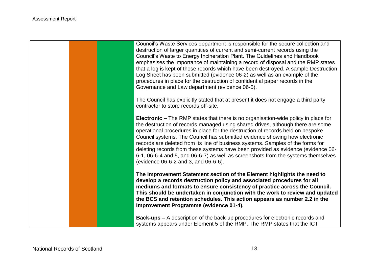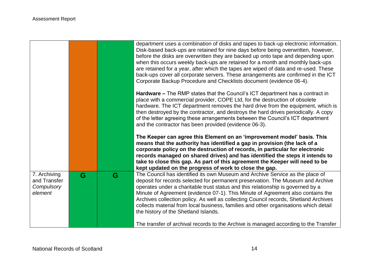|                                                       |   |   | department uses a combination of disks and tapes to back-up electronic information.<br>Disk-based back-ups are retained for nine days before being overwritten, however,<br>before the disks are overwritten they are backed up onto tape and depending upon<br>when this occurs weekly back-ups are retained for a month and monthly back-ups<br>are retained for a year, after which the tapes are wiped of data and re-used. These<br>back-ups cover all corporate servers. These arrangements are confirmed in the ICT<br>Corporate Backup Procedure and Checklists document (evidence 06-4). |
|-------------------------------------------------------|---|---|---------------------------------------------------------------------------------------------------------------------------------------------------------------------------------------------------------------------------------------------------------------------------------------------------------------------------------------------------------------------------------------------------------------------------------------------------------------------------------------------------------------------------------------------------------------------------------------------------|
|                                                       |   |   | <b>Hardware –</b> The RMP states that the Council's ICT department has a contract in<br>place with a commercial provider, COPE Ltd, for the destruction of obsolete<br>hardware. The ICT department removes the hard drive from the equipment, which is<br>then destroyed by the contractor, and destroys the hard drives periodically. A copy<br>of the letter agreeing these arrangements between the Council's ICT department<br>and the contractor has been provided (evidence 06-3).                                                                                                         |
|                                                       |   |   | The Keeper can agree this Element on an 'improvement model' basis. This<br>means that the authority has identified a gap in provision (the lack of a<br>corporate policy on the destruction of records, in particular for electronic<br>records managed on shared drives) and has identified the steps it intends to<br>take to close this gap. As part of this agreement the Keeper will need to be<br>kept updated on the progress of work to close the gap.                                                                                                                                    |
| 7. Archiving<br>and Transfer<br>Compulsory<br>element | G | G | The Council has identified its own Museum and Archive Service as the place of<br>deposit for records selected for permanent preservation. The Museum and Archive<br>operates under a charitable trust status and this relationship is governed by a<br>Minute of Agreement (evidence 07-1). This Minute of Agreement also contains the<br>Archives collection policy. As well as collecting Council records, Shetland Archives<br>collects material from local business, families and other organisations which detail<br>the history of the Shetland Islands.                                    |
|                                                       |   |   |                                                                                                                                                                                                                                                                                                                                                                                                                                                                                                                                                                                                   |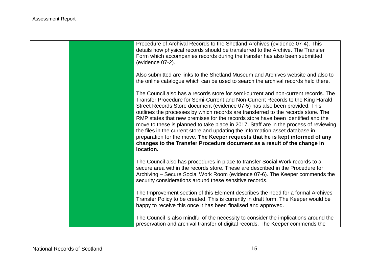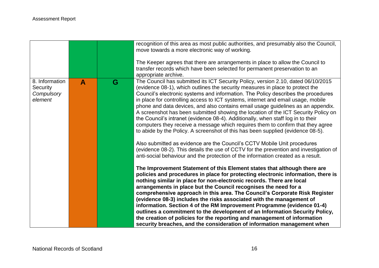|                                                     |   |   | recognition of this area as most public authorities, and presumably also the Council,<br>move towards a more electronic way of working.<br>The Keeper agrees that there are arrangements in place to allow the Council to<br>transfer records which have been selected for permanent preservation to an<br>appropriate archive.                                                                                                                                                                                                                                                                                                                                                                                                                                                                                                                             |
|-----------------------------------------------------|---|---|-------------------------------------------------------------------------------------------------------------------------------------------------------------------------------------------------------------------------------------------------------------------------------------------------------------------------------------------------------------------------------------------------------------------------------------------------------------------------------------------------------------------------------------------------------------------------------------------------------------------------------------------------------------------------------------------------------------------------------------------------------------------------------------------------------------------------------------------------------------|
| 8. Information<br>Security<br>Compulsory<br>element | A | G | The Council has submitted its ICT Security Policy, version 2.10, dated 06/10/2015<br>(evidence 08-1), which outlines the security measures in place to protect the<br>Council's electronic systems and information. The Policy describes the procedures<br>in place for controlling access to ICT systems, internet and email usage, mobile<br>phone and data devices, and also contains email usage guidelines as an appendix.<br>A screenshot has been submitted showing the location of the ICT Security Policy on<br>the Council's intranet (evidence 08-4). Additionally, when staff log in to their<br>computers they receive a message which requires them to confirm that they agree<br>to abide by the Policy. A screenshot of this has been supplied (evidence 08-5).<br>Also submitted as evidence are the Council's CCTV Mobile Unit procedures |
|                                                     |   |   | (evidence 08-2). This details the use of CCTV for the prevention and investigation of<br>anti-social behaviour and the protection of the information created as a result.                                                                                                                                                                                                                                                                                                                                                                                                                                                                                                                                                                                                                                                                                   |
|                                                     |   |   | The Improvement Statement of this Element states that although there are<br>policies and procedures in place for protecting electronic information, there is<br>nothing similar in place for non-electronic records. There are local<br>arrangements in place but the Council recognises the need for a<br>comprehensive approach in this area. The Council's Corporate Risk Register<br>(evidence 08-3) includes the risks associated with the management of<br>information. Section 4 of the RM Improvement Programme (evidence 01-4)<br>outlines a commitment to the development of an Information Security Policy,<br>the creation of policies for the reporting and management of information<br>security breaches, and the consideration of information management when                                                                               |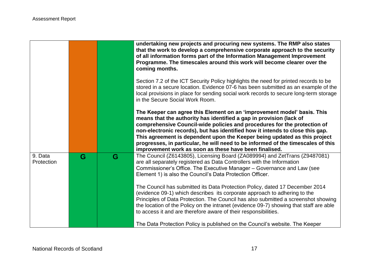|                       |   |   | undertaking new projects and procuring new systems. The RMP also states<br>that the work to develop a comprehensive corporate approach to the security<br>of all information forms part of the Information Management Improvement<br>Programme. The timescales around this work will become clearer over the<br>coming months.                                                                                                                                                                                                         |
|-----------------------|---|---|----------------------------------------------------------------------------------------------------------------------------------------------------------------------------------------------------------------------------------------------------------------------------------------------------------------------------------------------------------------------------------------------------------------------------------------------------------------------------------------------------------------------------------------|
|                       |   |   | Section 7.2 of the ICT Security Policy highlights the need for printed records to be<br>stored in a secure location. Evidence 07-6 has been submitted as an example of the<br>local provisions in place for sending social work records to secure long-term storage<br>in the Secure Social Work Room.                                                                                                                                                                                                                                 |
|                       |   |   | The Keeper can agree this Element on an 'improvement model' basis. This<br>means that the authority has identified a gap in provision (lack of<br>comprehensive Council-wide policies and procedures for the protection of<br>non-electronic records), but has identified how it intends to close this gap.<br>This agreement is dependent upon the Keeper being updated as this project<br>progresses, in particular, he will need to be informed of the timescales of this<br>improvement work as soon as these have been finalised. |
| 9. Data<br>Protection | G | G | The Council (Z6143805), Licensing Board (ZA089994) and ZetTrans (Z9487081)<br>are all separately registered as Data Controllers with the Information<br>Commissioner's Office. The Executive Manager - Governance and Law (see<br>Element 1) is also the Council's Data Protection Officer.                                                                                                                                                                                                                                            |
|                       |   |   | The Council has submitted its Data Protection Policy, dated 17 December 2014<br>(evidence 09-1) which describes its corporate approach to adhering to the<br>Principles of Data Protection. The Council has also submitted a screenshot showing<br>the location of the Policy on the intranet (evidence 09-7) showing that staff are able<br>to access it and are therefore aware of their responsibilities.                                                                                                                           |
|                       |   |   | The Data Protection Policy is published on the Council's website. The Keeper                                                                                                                                                                                                                                                                                                                                                                                                                                                           |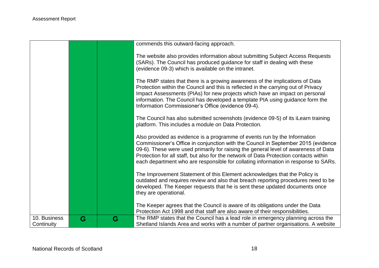|                            |   |   | commends this outward-facing approach.                                                                                                                                                                                                                                                                                                                                                                                               |
|----------------------------|---|---|--------------------------------------------------------------------------------------------------------------------------------------------------------------------------------------------------------------------------------------------------------------------------------------------------------------------------------------------------------------------------------------------------------------------------------------|
|                            |   |   | The website also provides information about submitting Subject Access Requests<br>(SARs). The Council has produced guidance for staff in dealing with these<br>(evidence 09-3) which is available on the intranet.                                                                                                                                                                                                                   |
|                            |   |   | The RMP states that there is a growing awareness of the implications of Data<br>Protection within the Council and this is reflected in the carrying out of Privacy<br>Impact Assessments (PIAs) for new projects which have an impact on personal<br>information. The Council has developed a template PIA using guidance form the<br>Information Commissioner's Office (evidence 09-4).                                             |
|                            |   |   | The Council has also submitted screenshots (evidence 09-5) of its iLearn training<br>platform. This includes a module on Data Protection.                                                                                                                                                                                                                                                                                            |
|                            |   |   | Also provided as evidence is a programme of events run by the Information<br>Commissioner's Office in conjunction with the Council in September 2015 (evidence<br>09-6). These were used primarily for raising the general level of awareness of Data<br>Protection for all staff, but also for the network of Data Protection contacts within<br>each department who are responsible for collating information in response to SARs. |
|                            |   |   | The Improvement Statement of this Element acknowledges that the Policy is<br>outdated and requires review and also that breach reporting procedures need to be<br>developed. The Keeper requests that he is sent these updated documents once<br>they are operational.                                                                                                                                                               |
|                            |   |   | The Keeper agrees that the Council is aware of its obligations under the Data<br>Protection Act 1998 and that staff are also aware of their responsibilities.                                                                                                                                                                                                                                                                        |
| 10. Business<br>Continuity | G | G | The RMP states that the Council has a lead role in emergency planning across the<br>Shetland Islands Area and works with a number of partner organisations. A website                                                                                                                                                                                                                                                                |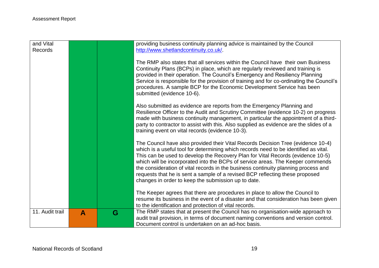| and Vital<br>Records |                  |   | providing business continuity planning advice is maintained by the Council<br>http://www.shetlandcontinuity.co.uk/                                                                                                                                                                                                                                                                                                                                                                                                                                                         |
|----------------------|------------------|---|----------------------------------------------------------------------------------------------------------------------------------------------------------------------------------------------------------------------------------------------------------------------------------------------------------------------------------------------------------------------------------------------------------------------------------------------------------------------------------------------------------------------------------------------------------------------------|
|                      |                  |   | The RMP also states that all services within the Council have their own Business<br>Continuity Plans (BCPs) in place, which are regularly reviewed and training is<br>provided in their operation. The Council's Emergency and Resiliency Planning<br>Service is responsible for the provision of training and for co-ordinating the Council's<br>procedures. A sample BCP for the Economic Development Service has been<br>submitted (evidence 10-6).                                                                                                                     |
|                      |                  |   | Also submitted as evidence are reports from the Emergency Planning and<br>Resilience Officer to the Audit and Scrutiny Committee (evidence 10-2) on progress<br>made with business continuity management, in particular the appointment of a third-<br>party to contractor to assist with this. Also supplied as evidence are the slides of a<br>training event on vital records (evidence 10-3).                                                                                                                                                                          |
|                      |                  |   | The Council have also provided their Vital Records Decision Tree (evidence 10-4)<br>which is a useful tool for determining which records need to be identified as vital.<br>This can be used to develop the Recovery Plan for Vital Records (evidence 10-5)<br>which will be incorporated into the BCPs of service areas. The Keeper commends<br>the consideration of vital records in the business continuity planning process and<br>requests that he is sent a sample of a revised BCP reflecting these proposed<br>changes in order to keep the submission up to date. |
|                      |                  |   | The Keeper agrees that there are procedures in place to allow the Council to<br>resume its business in the event of a disaster and that consideration has been given<br>to the identification and protection of vital records.                                                                                                                                                                                                                                                                                                                                             |
| 11. Audit trail      | $\blacktriangle$ | G | The RMP states that at present the Council has no organisation-wide approach to<br>audit trail provision, in terms of document naming conventions and version control.<br>Document control is undertaken on an ad-hoc basis.                                                                                                                                                                                                                                                                                                                                               |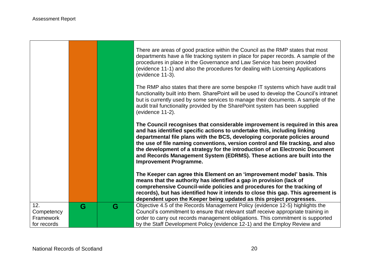÷

 $\Gamma$ 

|                                               |   |   | There are areas of good practice within the Council as the RMP states that most<br>departments have a file tracking system in place for paper records. A sample of the<br>procedures in place in the Governance and Law Service has been provided<br>(evidence 11-1) and also the procedures for dealing with Licensing Applications<br>(evidence 11-3).<br>The RMP also states that there are some bespoke IT systems which have audit trail<br>functionality built into them. SharePoint will be used to develop the Council's intranet<br>but is currently used by some services to manage their documents. A sample of the<br>audit trail functionality provided by the SharePoint system has been supplied<br>(evidence 11-2). |
|-----------------------------------------------|---|---|-------------------------------------------------------------------------------------------------------------------------------------------------------------------------------------------------------------------------------------------------------------------------------------------------------------------------------------------------------------------------------------------------------------------------------------------------------------------------------------------------------------------------------------------------------------------------------------------------------------------------------------------------------------------------------------------------------------------------------------|
|                                               |   |   | The Council recognises that considerable improvement is required in this area<br>and has identified specific actions to undertake this, including linking<br>departmental file plans with the BCS, developing corporate policies around<br>the use of file naming conventions, version control and file tracking, and also<br>the development of a strategy for the introduction of an Electronic Document<br>and Records Management System (EDRMS). These actions are built into the<br><b>Improvement Programme.</b><br>The Keeper can agree this Element on an 'improvement model' basis. This                                                                                                                                   |
|                                               |   |   | means that the authority has identified a gap in provision (lack of<br>comprehensive Council-wide policies and procedures for the tracking of<br>records), but has identified how it intends to close this gap. This agreement is<br>dependent upon the Keeper being updated as this project progresses.                                                                                                                                                                                                                                                                                                                                                                                                                            |
| 12.<br>Competency<br>Framework<br>for records | G | G | Objective 4.5 of the Records Management Policy (evidence 12-5) highlights the<br>Council's commitment to ensure that relevant staff receive appropriate training in<br>order to carry out records management obligations. This commitment is supported<br>by the Staff Development Policy (evidence 12-1) and the Employ Review and                                                                                                                                                                                                                                                                                                                                                                                                 |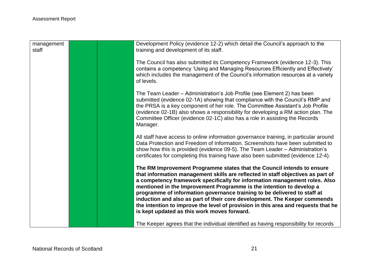| management<br>staff |  | Development Policy (evidence 12-2) which detail the Council's approach to the<br>training and development of its staff.                                                                                                                                                                                                                                                                                                                                                                                                                                                                                      |
|---------------------|--|--------------------------------------------------------------------------------------------------------------------------------------------------------------------------------------------------------------------------------------------------------------------------------------------------------------------------------------------------------------------------------------------------------------------------------------------------------------------------------------------------------------------------------------------------------------------------------------------------------------|
|                     |  | The Council has also submitted its Competency Framework (evidence 12-3). This<br>contains a competency 'Using and Managing Resources Efficiently and Effectively'<br>which includes the management of the Council's information resources at a variety<br>of levels.                                                                                                                                                                                                                                                                                                                                         |
|                     |  | The Team Leader - Administration's Job Profile (see Element 2) has been<br>submitted (evidence 02-1A) showing that compliance with the Council's RMP and<br>the PRSA is a key component of her role. The Committee Assistant's Job Profile<br>(evidence 02-1B) also shows a responsibility for developing a RM action plan. The<br>Committee Officer (evidence 02-1C) also has a role in assisting the Records<br>Manager.                                                                                                                                                                                   |
|                     |  | All staff have access to online information governance training, in particular around<br>Data Protection and Freedom of Information. Screenshots have been submitted to<br>show how this is provided (evidence 09-5). The Team Leader – Administration's<br>certificates for completing this training have also been submitted (evidence 12-4).                                                                                                                                                                                                                                                              |
|                     |  | The RM Improvement Programme states that the Council intends to ensure<br>that information management skills are reflected in staff objectives as part of<br>a competency framework specifically for information management roles. Also<br>mentioned in the Improvement Programme is the intention to develop a<br>programme of information governance training to be delivered to staff at<br>induction and also as part of their core development. The Keeper commends<br>the intention to improve the level of provision in this area and requests that he<br>is kept updated as this work moves forward. |
|                     |  | The Keeper agrees that the individual identified as having responsibility for records                                                                                                                                                                                                                                                                                                                                                                                                                                                                                                                        |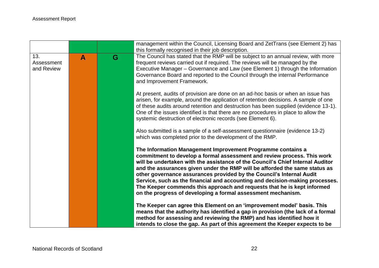|                                 |   |   | management within the Council, Licensing Board and ZetTrans (see Element 2) has<br>this formally recognised in their job description.                                                                                                                                                                                                                                                                                                                                                                                                                                                                     |
|---------------------------------|---|---|-----------------------------------------------------------------------------------------------------------------------------------------------------------------------------------------------------------------------------------------------------------------------------------------------------------------------------------------------------------------------------------------------------------------------------------------------------------------------------------------------------------------------------------------------------------------------------------------------------------|
| 13.<br>Assessment<br>and Review | A | G | The Council has stated that the RMP will be subject to an annual review, with more<br>frequent reviews carried out if required. The reviews will be managed by the<br>Executive Manager – Governance and Law (see Element 1) through the Information<br>Governance Board and reported to the Council through the internal Performance<br>and Improvement Framework.                                                                                                                                                                                                                                       |
|                                 |   |   | At present, audits of provision are done on an ad-hoc basis or when an issue has<br>arisen, for example, around the application of retention decisions. A sample of one<br>of these audits around retention and destruction has been supplied (evidence 13-1).<br>One of the issues identified is that there are no procedures in place to allow the<br>systemic destruction of electronic records (see Element 6).                                                                                                                                                                                       |
|                                 |   |   | Also submitted is a sample of a self-assessment questionnaire (evidence 13-2)<br>which was completed prior to the development of the RMP.                                                                                                                                                                                                                                                                                                                                                                                                                                                                 |
|                                 |   |   | The Information Management Improvement Programme contains a<br>commitment to develop a formal assessment and review process. This work<br>will be undertaken with the assistance of the Council's Chief Internal Auditor<br>and the assurances given under the RMP will be afforded the same status as<br>other governance assurances provided by the Council's Internal Audit<br>Service, such as the financial and accounting and decision-making processes.<br>The Keeper commends this approach and requests that he is kept informed<br>on the progress of developing a formal assessment mechanism. |
|                                 |   |   | The Keeper can agree this Element on an 'improvement model' basis. This<br>means that the authority has identified a gap in provision (the lack of a formal<br>method for assessing and reviewing the RMP) and has identified how it<br>intends to close the gap. As part of this agreement the Keeper expects to be                                                                                                                                                                                                                                                                                      |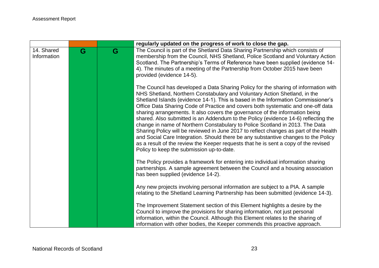|                           |   |   | regularly updated on the progress of work to close the gap.                                                                                                                                                                                                                                                                                                                                                                                                                                                                                                                                                                                                                                                                                                                                                                                                                                                        |
|---------------------------|---|---|--------------------------------------------------------------------------------------------------------------------------------------------------------------------------------------------------------------------------------------------------------------------------------------------------------------------------------------------------------------------------------------------------------------------------------------------------------------------------------------------------------------------------------------------------------------------------------------------------------------------------------------------------------------------------------------------------------------------------------------------------------------------------------------------------------------------------------------------------------------------------------------------------------------------|
| 14. Shared<br>Information | G | G | The Council is part of the Shetland Data Sharing Partnership which consists of<br>membership from the Council, NHS Shetland, Police Scotland and Voluntary Action<br>Scotland. The Partnership's Terms of Reference have been supplied (evidence 14-<br>4). The minutes of a meeting of the Partnership from October 2015 have been<br>provided (evidence 14-5).                                                                                                                                                                                                                                                                                                                                                                                                                                                                                                                                                   |
|                           |   |   | The Council has developed a Data Sharing Policy for the sharing of information with<br>NHS Shetland, Northern Constabulary and Voluntary Action Shetland, in the<br>Shetland Islands (evidence 14-1). This is based in the Information Commissioner's<br>Office Data Sharing Code of Practice and covers both systematic and one-off data<br>sharing arrangements. It also covers the governance of the information being<br>shared. Also submitted is an Addendum to the Policy (evidence 14-6) reflecting the<br>change in name of Northern Constabulary to Police Scotland in 2013. The Data<br>Sharing Policy will be reviewed in June 2017 to reflect changes as part of the Health<br>and Social Care Integration. Should there be any substantive changes to the Policy<br>as a result of the review the Keeper requests that he is sent a copy of the revised<br>Policy to keep the submission up-to-date. |
|                           |   |   | The Policy provides a framework for entering into individual information sharing<br>partnerships. A sample agreement between the Council and a housing association<br>has been supplied (evidence 14-2).                                                                                                                                                                                                                                                                                                                                                                                                                                                                                                                                                                                                                                                                                                           |
|                           |   |   | Any new projects involving personal information are subject to a PIA. A sample<br>relating to the Shetland Learning Partnership has been submitted (evidence 14-3).                                                                                                                                                                                                                                                                                                                                                                                                                                                                                                                                                                                                                                                                                                                                                |
|                           |   |   | The Improvement Statement section of this Element highlights a desire by the<br>Council to improve the provisions for sharing information, not just personal<br>information, within the Council. Although this Element relates to the sharing of<br>information with other bodies, the Keeper commends this proactive approach.                                                                                                                                                                                                                                                                                                                                                                                                                                                                                                                                                                                    |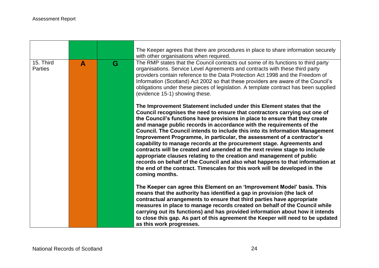|                             |                  |   | The Keeper agrees that there are procedures in place to share information securely<br>with other organisations when required.                                                                                                                                                                                                                                                                                                                                                                                                                                                                                                                                                                                                                                                                                                                                                        |
|-----------------------------|------------------|---|--------------------------------------------------------------------------------------------------------------------------------------------------------------------------------------------------------------------------------------------------------------------------------------------------------------------------------------------------------------------------------------------------------------------------------------------------------------------------------------------------------------------------------------------------------------------------------------------------------------------------------------------------------------------------------------------------------------------------------------------------------------------------------------------------------------------------------------------------------------------------------------|
| 15. Third<br><b>Parties</b> | $\blacktriangle$ | G | The RMP states that the Council contracts out some of its functions to third party<br>organisations. Service Level Agreements and contracts with these third party<br>providers contain reference to the Data Protection Act 1998 and the Freedom of<br>Information (Scotland) Act 2002 so that these providers are aware of the Council's<br>obligations under these pieces of legislation. A template contract has been supplied<br>(evidence 15-1) showing these.                                                                                                                                                                                                                                                                                                                                                                                                                 |
|                             |                  |   | The Improvement Statement included under this Element states that the<br>Council recognises the need to ensure that contractors carrying out one of<br>the Council's functions have provisions in place to ensure that they create<br>and manage public records in accordance with the requirements of the<br>Council. The Council intends to include this into its Information Management<br>Improvement Programme, in particular, the assessment of a contractor's<br>capability to manage records at the procurement stage. Agreements and<br>contracts will be created and amended at the next review stage to include<br>appropriate clauses relating to the creation and management of public<br>records on behalf of the Council and also what happens to that information at<br>the end of the contract. Timescales for this work will be developed in the<br>coming months. |
|                             |                  |   | The Keeper can agree this Element on an 'Improvement Model' basis. This<br>means that the authority has identified a gap in provision (the lack of<br>contractual arrangements to ensure that third parties have appropriate<br>measures in place to manage records created on behalf of the Council while<br>carrying out its functions) and has provided information about how it intends<br>to close this gap. As part of this agreement the Keeper will need to be updated<br>as this work progresses.                                                                                                                                                                                                                                                                                                                                                                           |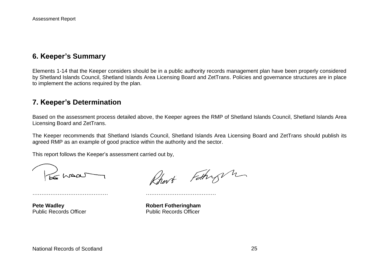## **6. Keeper's Summary**

Elements 1-14 that the Keeper considers should be in a public authority records management plan have been properly considered by Shetland Islands Council, Shetland Islands Area Licensing Board and ZetTrans. Policies and governance structures are in place to implement the actions required by the plan.

### **7. Keeper's Determination**

Based on the assessment process detailed above, the Keeper agrees the RMP of Shetland Islands Council, Shetland Islands Area Licensing Board and ZetTrans.

The Keeper recommends that Shetland Islands Council, Shetland Islands Area Licensing Board and ZetTrans should publish its agreed RMP as an example of good practice within the authority and the sector.

This report follows the Keeper's assessment carried out by,

…………………………………… …………………………………

S waar

Rhart Fathry m

**Pete Wadley <b>Robert Fotheringham** Public Records Officer Public Records Officer